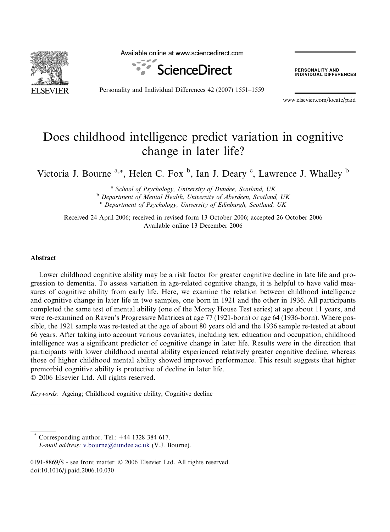

Available online at www.sciencedirect.com



**PERSONALITY AND<br>INDIVIDUAL DIFFERENCES** 

Personality and Individual Differences 42 (2007) 1551–1559

www.elsevier.com/locate/paid

## Does childhood intelligence predict variation in cognitive change in later life?

Victoria J. Bourne <sup>a,\*</sup>, Helen C. Fox <sup>b</sup>, Ian J. Deary <sup>c</sup>, Lawrence J. Whalley <sup>b</sup>

<sup>a</sup> School of Psychology, University of Dundee, Scotland, UK b Department of Mental Health, University of Aberdeen, Scotland, UK  $c$  Department of Psychology, University of Edinburgh, Scotland, UK

Received 24 April 2006; received in revised form 13 October 2006; accepted 26 October 2006 Available online 13 December 2006

## Abstract

Lower childhood cognitive ability may be a risk factor for greater cognitive decline in late life and progression to dementia. To assess variation in age-related cognitive change, it is helpful to have valid measures of cognitive ability from early life. Here, we examine the relation between childhood intelligence and cognitive change in later life in two samples, one born in 1921 and the other in 1936. All participants completed the same test of mental ability (one of the Moray House Test series) at age about 11 years, and were re-examined on Raven's Progressive Matrices at age 77 (1921-born) or age 64 (1936-born). Where possible, the 1921 sample was re-tested at the age of about 80 years old and the 1936 sample re-tested at about 66 years. After taking into account various covariates, including sex, education and occupation, childhood intelligence was a significant predictor of cognitive change in later life. Results were in the direction that participants with lower childhood mental ability experienced relatively greater cognitive decline, whereas those of higher childhood mental ability showed improved performance. This result suggests that higher premorbid cognitive ability is protective of decline in later life. © 2006 Elsevier Ltd. All rights reserved.

Keywords: Ageing; Childhood cognitive ability; Cognitive decline

Corresponding author. Tel.:  $+44$  1328 384 617.

E-mail address: [v.bourne@dundee.ac.uk](mailto:v.bourne@dundee.ac.uk) (V.J. Bourne).

0191-8869/\$ - see front matter © 2006 Elsevier Ltd. All rights reserved. doi:10.1016/j.paid.2006.10.030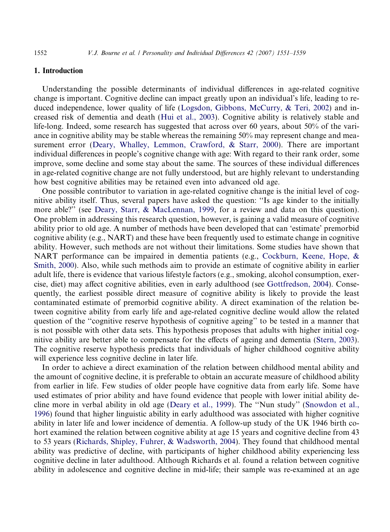## 1. Introduction

Understanding the possible determinants of individual differences in age-related cognitive change is important. Cognitive decline can impact greatly upon an individual's life, leading to reduced independence, lower quality of life [\(Logsdon, Gibbons, McCurry, & Teri, 2002\)](#page--1-0) and increased risk of dementia and death ([Hui et al., 2003](#page--1-0)). Cognitive ability is relatively stable and life-long. Indeed, some research has suggested that across over 60 years, about 50% of the variance in cognitive ability may be stable whereas the remaining 50% may represent change and measurement error [\(Deary, Whalley, Lemmon, Crawford, & Starr, 2000\)](#page--1-0). There are important individual differences in people's cognitive change with age: With regard to their rank order, some improve, some decline and some stay about the same. The sources of these individual differences in age-related cognitive change are not fully understood, but are highly relevant to understanding how best cognitive abilities may be retained even into advanced old age.

One possible contributor to variation in age-related cognitive change is the initial level of cognitive ability itself. Thus, several papers have asked the question: ''Is age kinder to the initially more able?'' (see [Deary, Starr, & MacLennan, 1999,](#page--1-0) for a review and data on this question). One problem in addressing this research question, however, is gaining a valid measure of cognitive ability prior to old age. A number of methods have been developed that can 'estimate' premorbid cognitive ability (e.g., NART) and these have been frequently used to estimate change in cognitive ability. However, such methods are not without their limitations. Some studies have shown that NART performance can be impaired in dementia patients (e.g., [Cockburn, Keene, Hope, &](#page--1-0) [Smith, 2000](#page--1-0)). Also, while such methods aim to provide an estimate of cognitive ability in earlier adult life, there is evidence that various lifestyle factors (e.g., smoking, alcohol consumption, exercise, diet) may affect cognitive abilities, even in early adulthood (see [Gottfredson, 2004\)](#page--1-0). Consequently, the earliest possible direct measure of cognitive ability is likely to provide the least contaminated estimate of premorbid cognitive ability. A direct examination of the relation between cognitive ability from early life and age-related cognitive decline would allow the related question of the ''cognitive reserve hypothesis of cognitive ageing'' to be tested in a manner that is not possible with other data sets. This hypothesis proposes that adults with higher initial cognitive ability are better able to compensate for the effects of ageing and dementia ([Stern, 2003](#page--1-0)). The cognitive reserve hypothesis predicts that individuals of higher childhood cognitive ability will experience less cognitive decline in later life.

In order to achieve a direct examination of the relation between childhood mental ability and the amount of cognitive decline, it is preferable to obtain an accurate measure of childhood ability from earlier in life. Few studies of older people have cognitive data from early life. Some have used estimates of prior ability and have found evidence that people with lower initial ability decline more in verbal ability in old age [\(Deary et al., 1999](#page--1-0)). The ''Nun study'' ([Snowdon et al.,](#page--1-0) [1996](#page--1-0)) found that higher linguistic ability in early adulthood was associated with higher cognitive ability in later life and lower incidence of dementia. A follow-up study of the UK 1946 birth cohort examined the relation between cognitive ability at age 15 years and cognitive decline from 43 to 53 years [\(Richards, Shipley, Fuhrer, & Wadsworth, 2004\)](#page--1-0). They found that childhood mental ability was predictive of decline, with participants of higher childhood ability experiencing less cognitive decline in later adulthood. Although Richards et al. found a relation between cognitive ability in adolescence and cognitive decline in mid-life; their sample was re-examined at an age